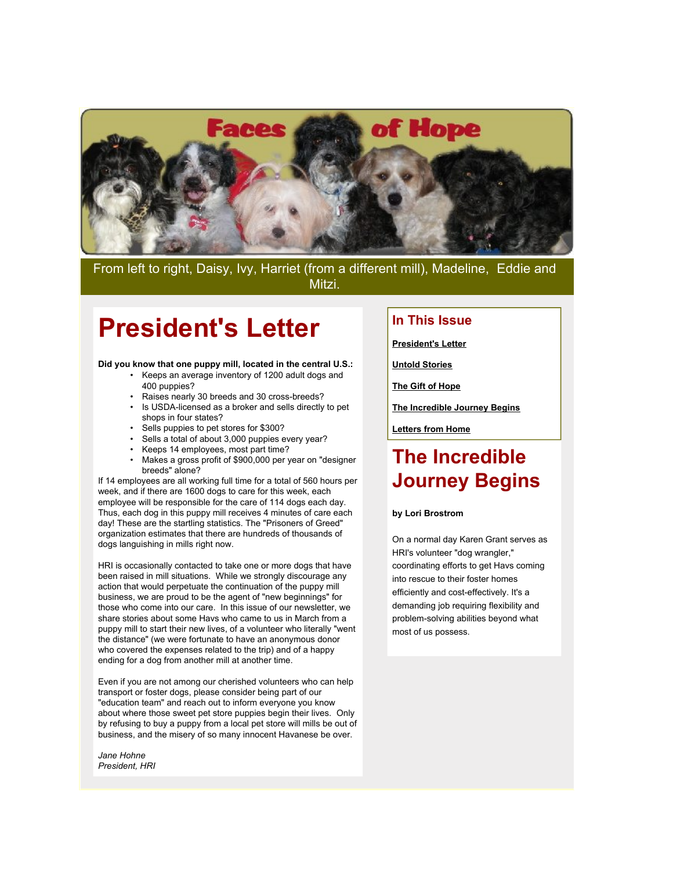

From left to right, Daisy, Ivy, Harriet (from a different mill), Madeline, Eddie and Mitzi.

### **President's Letter**

**Did you know that one puppy mill, located in the central U.S.:**

- Keeps an average inventory of 1200 adult dogs and 400 puppies?
- Raises nearly 30 breeds and 30 cross-breeds?
- Is USDA-licensed as a broker and sells directly to pet shops in four states?
- Sells puppies to pet stores for \$300?
- Sells a total of about 3,000 puppies every year?
- Keeps 14 employees, most part time?
- Makes a gross profit of \$900,000 per year on "designer breeds" alone?

If 14 employees are all working full time for a total of 560 hours per week, and if there are 1600 dogs to care for this week, each employee will be responsible for the care of 114 dogs each day. Thus, each dog in this puppy mill receives 4 minutes of care each day! These are the startling statistics. The "Prisoners of Greed" organization estimates that there are hundreds of thousands of dogs languishing in mills right now.

HRI is occasionally contacted to take one or more dogs that have been raised in mill situations. While we strongly discourage any action that would perpetuate the continuation of the puppy mill business, we are proud to be the agent of "new beginnings" for those who come into our care. In this issue of our newsletter, we share stories about some Havs who came to us in March from a puppy mill to start their new lives, of a volunteer who literally "went the distance" (we were fortunate to have an anonymous donor who covered the expenses related to the trip) and of a happy ending for a dog from another mill at another time.

Even if you are not among our cherished volunteers who can help transport or foster dogs, please consider being part of our "education team" and reach out to inform everyone you know about where those sweet pet store puppies begin their lives. Only by refusing to buy a puppy from a local pet store will mills be out of business, and the misery of so many innocent Havanese be over.

*Jane Hohne President, HRI*

#### **In This Issue**

**[President's Letter](http://mail.google.com/mail/?ui=2&view=bsp&ver=1qygpcgurkovy#121683bd17a0e4d6_LETTER.BLOCK19)**

**[Untold Stories](http://mail.google.com/mail/?ui=2&view=bsp&ver=1qygpcgurkovy#121683bd17a0e4d6_LETTER.BLOCK18)**

**[The Gift of Hope](http://mail.google.com/mail/?ui=2&view=bsp&ver=1qygpcgurkovy#121683bd17a0e4d6_LETTER.BLOCK21)**

**[The Incredible Journey Begins](http://mail.google.com/mail/?ui=2&view=bsp&ver=1qygpcgurkovy#121683bd17a0e4d6_LETTER.BLOCK9)**

**[Letters from Home](http://mail.google.com/mail/?ui=2&view=bsp&ver=1qygpcgurkovy#121683bd17a0e4d6_LETTER.BLOCK5)**

### **The Incredible Journey Begins**

#### **by Lori Brostrom**

On a normal day Karen Grant serves as HRI's volunteer "dog wrangler," coordinating efforts to get Havs coming into rescue to their foster homes efficiently and cost-effectively. It's a demanding job requiring flexibility and problem-solving abilities beyond what most of us possess.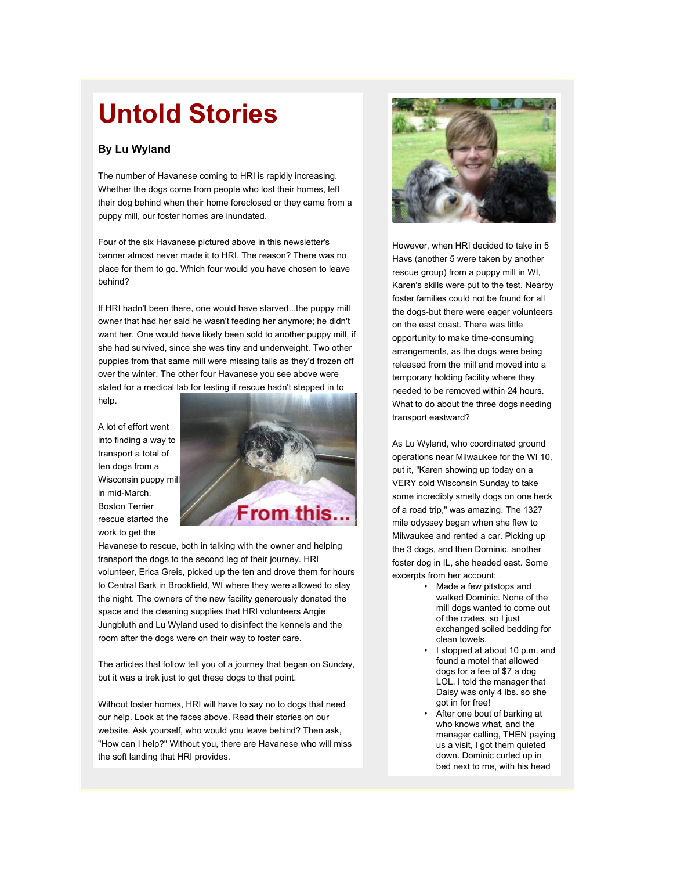# **Untold Stories**

#### **By Lu Wyland**

The number of Havanese coming to HRI is rapidly increasing. Whether the dogs come from people who lost their homes, left their dog behind when their home foreclosed or they came from a puppy mill, our foster homes are inundated.

Four of the six Havanese pictured above in this newsletter's banner almost never made it to HRI. The reason? There was no place for them to go. Which four would you have chosen to leave behind?

If HRI hadn't been there, one would have starved...the puppy mill owner that had her said he wasn't feeding her anymore; he didn't want her. One would have likely been sold to another puppy mill, if she had survived, since she was tiny and underweight. Two other puppies from that same mill were missing tails as they'd frozen off over the winter. The other four Havanese you see above were slated for a medical lab for testing if rescue hadn't stepped in to help.

A lot of effort went into finding a way to transport a total of ten dogs from a Wisconsin puppy mill in mid-March. Boston Terrier rescue started the work to get the



Havanese to rescue, both in talking with the owner and helping transport the dogs to the second leg of their journey. HRI volunteer, Erica Greis, picked up the ten and drove them for hours to Central Bark in Brookfield, WI where they were allowed to stay the night. The owners of the new facility generously donated the space and the cleaning supplies that HRI volunteers Angie Jungbluth and Lu Wyland used to disinfect the kennels and the room after the dogs were on their way to foster care.

The articles that follow tell you of a journey that began on Sunday, but it was a trek just to get these dogs to that point.

Without foster homes, HRI will have to say no to dogs that need our help. Look at the faces above. Read their stories on our website. Ask yourself, who would you leave behind? Then ask, "How can I help?" Without you, there are Havanese who will miss the soft landing that HRI provides.



However, when HRI decided to take in 5 Havs (another 5 were taken by another rescue group) from a puppy mill in WI, Karen's skills were put to the test. Nearby foster families could not be found for all the dogs-but there were eager volunteers on the east coast. There was little opportunity to make time-consuming arrangements, as the dogs were being released from the mill and moved into a temporary holding facility where they needed to be removed within 24 hours. What to do about the three dogs needing transport eastward?

As Lu Wyland, who coordinated ground operations near Milwaukee for the WI 10, put it, "Karen showing up today on a VERY cold Wisconsin Sunday to take some incredibly smelly dogs on one heck of a road trip," was amazing. The 1327 mile odyssey began when she flew to Milwaukee and rented a car. Picking up the 3 dogs, and then Dominic, another foster dog in IL, she headed east. Some excerpts from her account:

- Made a few pitstops and walked Dominic. None of the mill dogs wanted to come out of the crates, so I just exchanged soiled bedding for clean towels.
- I stopped at about 10 p.m. and found a motel that allowed dogs for a fee of \$7 a dog LOL. I told the manager that Daisy was only 4 lbs. so she got in for free!
- After one bout of barking at who knows what, and the manager calling, THEN paying us a visit, I got them quieted down. Dominic curled up in bed next to me, with his head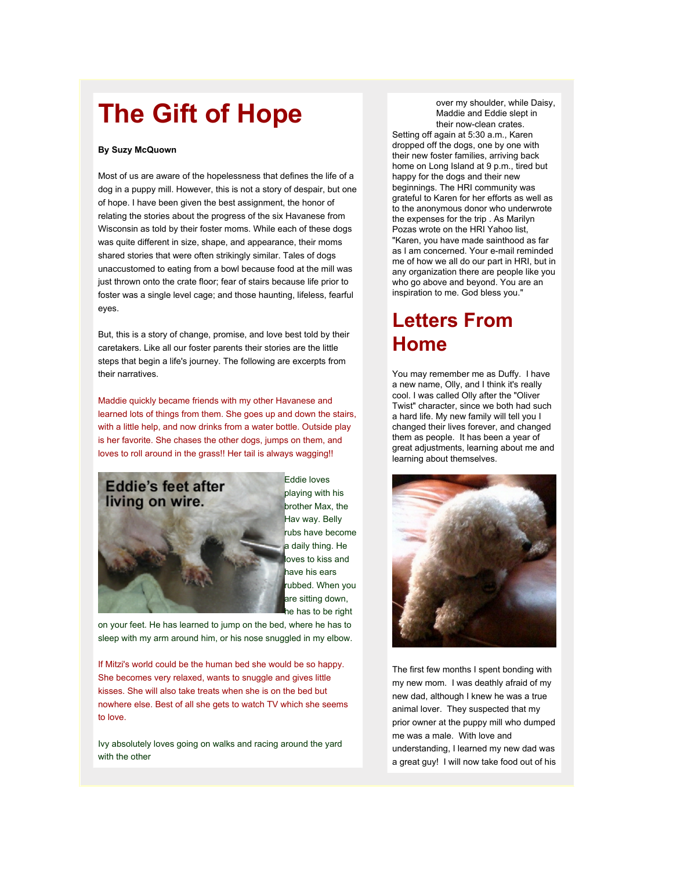## **The Gift of Hope**

#### **By Suzy McQuown**

Most of us are aware of the hopelessness that defines the life of a dog in a puppy mill. However, this is not a story of despair, but one of hope. I have been given the best assignment, the honor of relating the stories about the progress of the six Havanese from Wisconsin as told by their foster moms. While each of these dogs was quite different in size, shape, and appearance, their moms shared stories that were often strikingly similar. Tales of dogs unaccustomed to eating from a bowl because food at the mill was just thrown onto the crate floor; fear of stairs because life prior to foster was a single level cage; and those haunting, lifeless, fearful eyes.

But, this is a story of change, promise, and love best told by their caretakers. Like all our foster parents their stories are the little steps that begin a life's journey. The following are excerpts from their narratives.

Maddie quickly became friends with my other Havanese and learned lots of things from them. She goes up and down the stairs, with a little help, and now drinks from a water bottle. Outside play is her favorite. She chases the other dogs, jumps on them, and loves to roll around in the grass!! Her tail is always wagging!!



Eddie loves playing with his brother Max, the Hav way. Belly rubs have become a daily thing. He oves to kiss and have his ears rubbed. When you are sitting down, he has to be right

on your feet. He has learned to jump on the bed, where he has to sleep with my arm around him, or his nose snuggled in my elbow.

If Mitzi's world could be the human bed she would be so happy. She becomes very relaxed, wants to snuggle and gives little kisses. She will also take treats when she is on the bed but nowhere else. Best of all she gets to watch TV which she seems to love.

Ivy absolutely loves going on walks and racing around the yard with the other

over my shoulder, while Daisy, Maddie and Eddie slept in their now-clean crates. Setting off again at 5:30 a.m., Karen

dropped off the dogs, one by one with their new foster families, arriving back home on Long Island at 9 p.m., tired but happy for the dogs and their new beginnings. The HRI community was grateful to Karen for her efforts as well as to the anonymous donor who underwrote the expenses for the trip . As Marilyn Pozas wrote on the HRI Yahoo list, "Karen, you have made sainthood as far as I am concerned. Your e-mail reminded me of how we all do our part in HRI, but in any organization there are people like you who go above and beyond. You are an inspiration to me. God bless you."

### **Letters From Home**

You may remember me as Duffy. I have a new name, Olly, and I think it's really cool. I was called Olly after the "Oliver Twist" character, since we both had such a hard life. My new family will tell you I changed their lives forever, and changed them as people. It has been a year of great adjustments, learning about me and learning about themselves.



The first few months I spent bonding with my new mom. I was deathly afraid of my new dad, although I knew he was a true animal lover. They suspected that my prior owner at the puppy mill who dumped me was a male. With love and understanding, I learned my new dad was a great guy! I will now take food out of his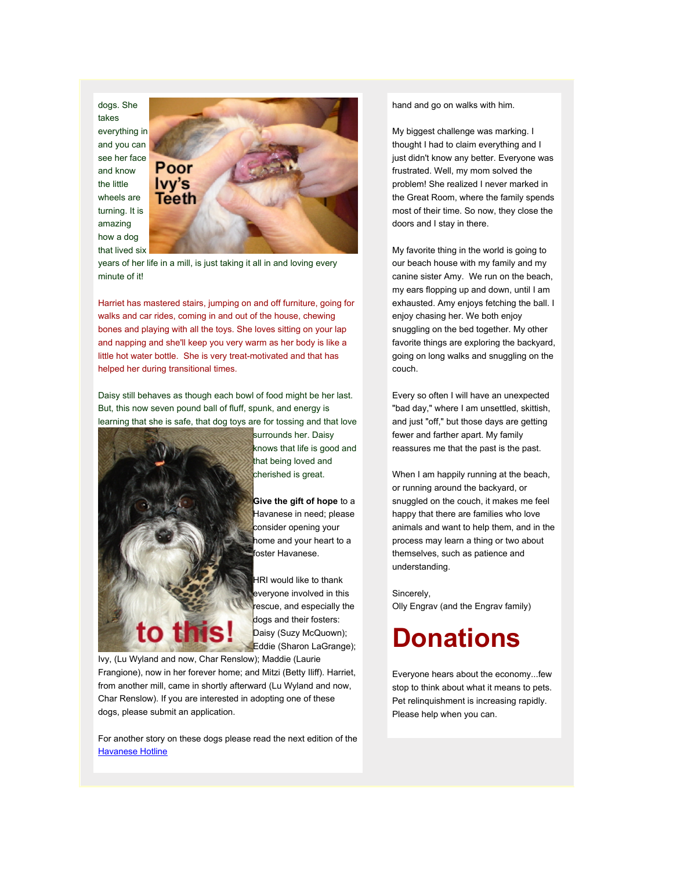dogs. She takes everything in and you can see her face and know the little wheels are turning. It is amazing how a dog that lived six



years of her life in a mill, is just taking it all in and loving every minute of it!

Harriet has mastered stairs, jumping on and off furniture, going for walks and car rides, coming in and out of the house, chewing bones and playing with all the toys. She loves sitting on your lap and napping and she'll keep you very warm as her body is like a little hot water bottle. She is very treat-motivated and that has helped her during transitional times.

Daisy still behaves as though each bowl of food might be her last. But, this now seven pound ball of fluff, spunk, and energy is learning that she is safe, that dog toys are for tossing and that love



surrounds her. Daisy knows that life is good and that being loved and cherished is great.

**Give the gift of hope** to a Havanese in need; please consider opening your home and your heart to a foster Havanese.

HRI would like to thank everyone involved in this rescue, and especially the dogs and their fosters: Daisy (Suzy McQuown); Eddie (Sharon LaGrange);

Ivy, (Lu Wyland and now, Char Renslow); Maddie (Laurie Frangione), now in her forever home; and Mitzi (Betty Iliff). Harriet, from another mill, came in shortly afterward (Lu Wyland and now, Char Renslow). If you are interested in adopting one of these dogs, please submit an application.

For another story on these dogs please read the next edition of the [Havanese Hotline](http://rs6.net/tn.jsp?et=1102584059868&s=2126&e=001ARudQAjnnwLQCTAlv5HXXnyyBfZ2y2Uu1961BHYDtutUsdb7J8nEUT_yX3FgOUY439Mr3Ww7-XzyqDmsbPzZW1isL5UPN-mGCEiTyMtEutHqnCP7kBWLQPSaOjwrcIwb)

hand and go on walks with him.

My biggest challenge was marking. I thought I had to claim everything and I just didn't know any better. Everyone was frustrated. Well, my mom solved the problem! She realized I never marked in the Great Room, where the family spends most of their time. So now, they close the doors and I stay in there.

My favorite thing in the world is going to our beach house with my family and my canine sister Amy. We run on the beach, my ears flopping up and down, until I am exhausted. Amy enjoys fetching the ball. I enjoy chasing her. We both enjoy snuggling on the bed together. My other favorite things are exploring the backyard, going on long walks and snuggling on the couch.

Every so often I will have an unexpected "bad day," where I am unsettled, skittish, and just "off," but those days are getting fewer and farther apart. My family reassures me that the past is the past.

When I am happily running at the beach, or running around the backyard, or snuggled on the couch, it makes me feel happy that there are families who love animals and want to help them, and in the process may learn a thing or two about themselves, such as patience and understanding.

Sincerely, Olly Engrav (and the Engrav family)

## **Donations**

Everyone hears about the economy...few stop to think about what it means to pets. Pet relinquishment is increasing rapidly. Please help when you can.